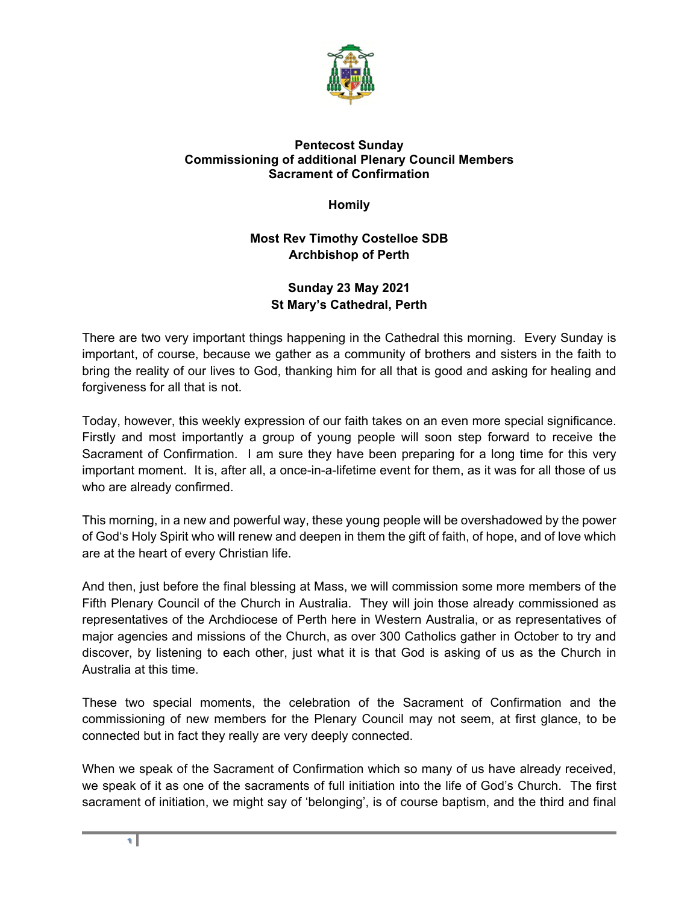

## **Pentecost Sunday Commissioning of additional Plenary Council Members Sacrament of Confirmation**

**Homily** 

## **Most Rev Timothy Costelloe SDB Archbishop of Perth**

## **Sunday 23 May 2021 St Mary's Cathedral, Perth**

There are two very important things happening in the Cathedral this morning. Every Sunday is important, of course, because we gather as a community of brothers and sisters in the faith to bring the reality of our lives to God, thanking him for all that is good and asking for healing and forgiveness for all that is not.

Today, however, this weekly expression of our faith takes on an even more special significance. Firstly and most importantly a group of young people will soon step forward to receive the Sacrament of Confirmation. I am sure they have been preparing for a long time for this very important moment. It is, after all, a once-in-a-lifetime event for them, as it was for all those of us who are already confirmed.

This morning, in a new and powerful way, these young people will be overshadowed by the power of God's Holy Spirit who will renew and deepen in them the gift of faith, of hope, and of love which are at the heart of every Christian life.

And then, just before the final blessing at Mass, we will commission some more members of the Fifth Plenary Council of the Church in Australia. They will join those already commissioned as representatives of the Archdiocese of Perth here in Western Australia, or as representatives of major agencies and missions of the Church, as over 300 Catholics gather in October to try and discover, by listening to each other, just what it is that God is asking of us as the Church in Australia at this time.

These two special moments, the celebration of the Sacrament of Confirmation and the commissioning of new members for the Plenary Council may not seem, at first glance, to be connected but in fact they really are very deeply connected.

When we speak of the Sacrament of Confirmation which so many of us have already received, we speak of it as one of the sacraments of full initiation into the life of God's Church. The first sacrament of initiation, we might say of 'belonging', is of course baptism, and the third and final